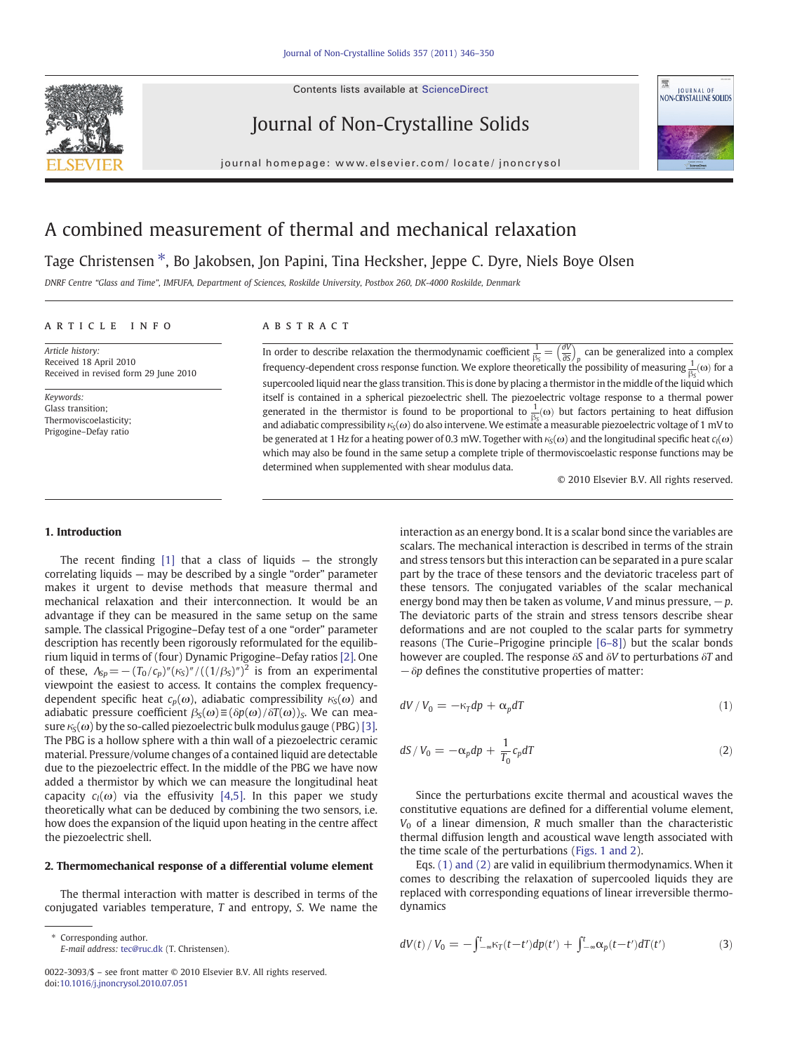Contents lists available at ScienceDirect



Journal of Non-Crystalline Solids



journal homepage: www.elsevier.com/ locate/ jnoncrysol

# A combined measurement of thermal and mechanical relaxation

Tage Christensen \*, Bo Jakobsen, Jon Papini, Tina Hecksher, Jeppe C. Dyre, Niels Boye Olsen

DNRF Centre "Glass and Time", IMFUFA, Department of Sciences, Roskilde University, Postbox 260, DK-4000 Roskilde, Denmark

# article info abstract

Article history: Received 18 April 2010 Received in revised form 29 June 2010

Keywords: Glass transition; Thermoviscoelasticity; Prigogine–Defay ratio

In order to describe relaxation the thermodynamic coefficient  $\frac{1}{\beta_S} = \left(\frac{\partial V}{\partial S}\right)_p$  can be generalized into a complex frequency-dependent cross response function. We explore theoretically the possibility of measuring  $\frac{1}{\beta_S}(\omega)$  for a supercooled liquid near the glass transition. This is done by placing a thermistor in the middle of the liquid which itself is contained in a spherical piezoelectric shell. The piezoelectric voltage response to a thermal power generated in the thermistor is found to be proportional to  $\frac{1}{65}(\omega)$  but factors pertaining to heat diffusion and adiabatic compressibility  $\kappa_S(\omega)$  do also intervene. We estimate a measurable piezoelectric voltage of 1 mV to be generated at 1 Hz for a heating power of 0.3 mW. Together with  $\kappa_S(\omega)$  and the longitudinal specific heat  $c_l(\omega)$ which may also be found in the same setup a complete triple of thermoviscoelastic response functions may be determined when supplemented with shear modulus data.

© 2010 Elsevier B.V. All rights reserved.

## 1. Introduction

The recent finding  $[1]$  that a class of liquids  $-$  the strongly correlating liquids — may be described by a single "order" parameter makes it urgent to devise methods that measure thermal and mechanical relaxation and their interconnection. It would be an advantage if they can be measured in the same setup on the same sample. The classical Prigogine–Defay test of a one "order" parameter description has recently been rigorously reformulated for the equilibrium liquid in terms of (four) Dynamic Prigogine–Defay ratios [\[2\].](#page-3-0) One of these,  $\Lambda_{\text{Sp}} = -(T_0/c_p)''(\kappa_S)''/((1/\beta_S)'')^2$  is from an experimental viewpoint the easiest to access. It contains the complex frequencydependent specific heat  $c_p(\omega)$ , adiabatic compressibility  $\kappa_S(\omega)$  and adiabatic pressure coefficient  $\beta_S(\omega) \equiv (\delta p(\omega) / \delta T(\omega))_S$ . We can measure  $\kappa_{\rm S}(\omega)$  by the so-called piezoelectric bulk modulus gauge (PBG) [\[3\].](#page-4-0) The PBG is a hollow sphere with a thin wall of a piezoelectric ceramic material. Pressure/volume changes of a contained liquid are detectable due to the piezoelectric effect. In the middle of the PBG we have now added a thermistor by which we can measure the longitudinal heat capacity  $c_l(\omega)$  via the effusivity [\[4,5\]](#page-4-0). In this paper we study theoretically what can be deduced by combining the two sensors, i.e. how does the expansion of the liquid upon heating in the centre affect the piezoelectric shell.

### 2. Thermomechanical response of a differential volume element

The thermal interaction with matter is described in terms of the conjugated variables temperature, T and entropy, S. We name the

⁎ Corresponding author. E-mail address: [tec@ruc.dk](mailto:tec@ruc.dk) (T. Christensen).

0022-3093/\$ – see front matter © 2010 Elsevier B.V. All rights reserved. doi[:10.1016/j.jnoncrysol.2010.07.051](http://dx.doi.org/10.1016/j.jnoncrysol.2010.07.051)

interaction as an energy bond. It is a scalar bond since the variables are scalars. The mechanical interaction is described in terms of the strain and stress tensors but this interaction can be separated in a pure scalar part by the trace of these tensors and the deviatoric traceless part of these tensors. The conjugated variables of the scalar mechanical energy bond may then be taken as volume, V and minus pressure,  $-p$ . The deviatoric parts of the strain and stress tensors describe shear deformations and are not coupled to the scalar parts for symmetry reasons (The Curie–Prigogine principle [\[6](#page-4-0)–8]) but the scalar bonds however are coupled. The response  $\delta S$  and  $\delta V$  to perturbations  $\delta T$  and −δp defines the constitutive properties of matter:

$$
dV/V_0 = -\kappa_T dp + \alpha_p dT \tag{1}
$$

$$
dS/V_0 = -\alpha_p dp + \frac{1}{T_0} c_p dT \tag{2}
$$

Since the perturbations excite thermal and acoustical waves the constitutive equations are defined for a differential volume element,  $V_0$  of a linear dimension, R much smaller than the characteristic thermal diffusion length and acoustical wave length associated with the time scale of the perturbations [\(Figs. 1 and 2\)](#page-1-0).

Eqs. (1) and (2) are valid in equilibrium thermodynamics. When it comes to describing the relaxation of supercooled liquids they are replaced with corresponding equations of linear irreversible thermodynamics

$$
dV(t)/V_0 = -\int_{-\infty}^t K_T(t-t')dp(t') + \int_{-\infty}^t \alpha_p(t-t')dT(t')
$$
 (3)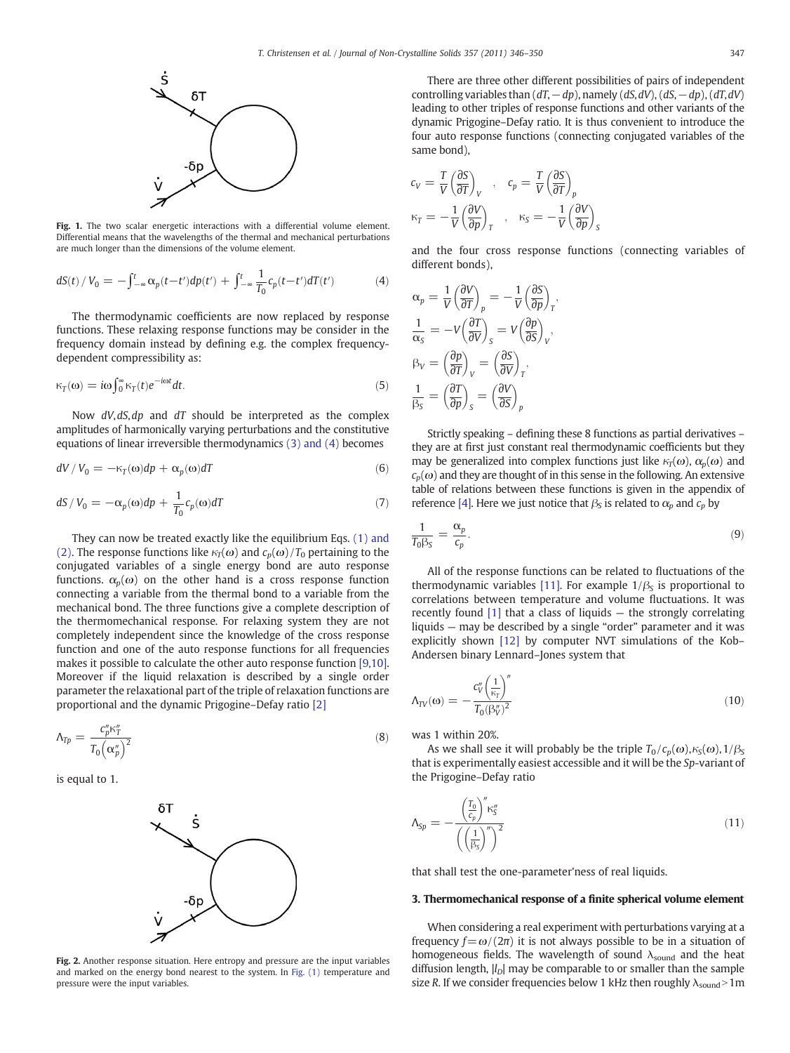<span id="page-1-0"></span>

Fig. 1. The two scalar energetic interactions with a differential volume element. Differential means that the wavelengths of the thermal and mechanical perturbations are much longer than the dimensions of the volume element.

$$
dS(t) / V_0 = -\int_{-\infty}^{t} \alpha_p(t - t') dp(t') + \int_{-\infty}^{t} \frac{1}{T_0} c_p(t - t') dT(t')
$$
(4)

The thermodynamic coefficients are now replaced by response functions. These relaxing response functions may be consider in the frequency domain instead by defining e.g. the complex frequencydependent compressibility as:

$$
\kappa_T(\omega) = i\omega \int_0^\infty \kappa_T(t) e^{-i\omega t} dt. \tag{5}
$$

Now  $dV$ ,  $dS$ ,  $dp$  and  $dT$  should be interpreted as the complex amplitudes of harmonically varying perturbations and the constitutive equations of linear irreversible thermodynamics (3) and (4) becomes

$$
dV/V_0 = -\kappa_T(\omega)dp + \alpha_p(\omega)dT
$$
\n(6)

$$
dS/V_0 = -\alpha_p(\omega)dp + \frac{1}{T_0}c_p(\omega)dT
$$
\n(7)

They can now be treated exactly like the equilibrium Eqs. (1) and (2). The response functions like  $\kappa_T(\omega)$  and  $c_p(\omega)/T_0$  pertaining to the conjugated variables of a single energy bond are auto response functions.  $\alpha_n(\omega)$  on the other hand is a cross response function connecting a variable from the thermal bond to a variable from the mechanical bond. The three functions give a complete description of the thermomechanical response. For relaxing system they are not completely independent since the knowledge of the cross response function and one of the auto response functions for all frequencies makes it possible to calculate the other auto response function [\[9,10\].](#page-4-0) Moreover if the liquid relaxation is described by a single order parameter the relaxational part of the triple of relaxation functions are proportional and the dynamic Prigogine–Defay ratio [\[2\]](#page-3-0)

$$
\Lambda_{Tp} = \frac{c_p'' \kappa_T''}{T_0 \left(\alpha_p''\right)^2} \tag{8}
$$

is equal to 1.



Fig. 2. Another response situation. Here entropy and pressure are the input variables and marked on the energy bond nearest to the system. In Fig. (1) temperature and pressure were the input variables.

There are three other different possibilities of pairs of independent controlling variables than  $(dT, -dp)$ , namely  $(dS, dV)$ ,  $(dS, -dp)$ ,  $(dT, dV)$ leading to other triples of response functions and other variants of the dynamic Prigogine–Defay ratio. It is thus convenient to introduce the four auto response functions (connecting conjugated variables of the same bond),

$$
c_V = \frac{T}{V} \left(\frac{\partial S}{\partial T}\right)_V , \quad c_p = \frac{T}{V} \left(\frac{\partial S}{\partial T}\right)_p
$$
  

$$
\kappa_T = -\frac{1}{V} \left(\frac{\partial V}{\partial p}\right)_T , \quad \kappa_S = -\frac{1}{V} \left(\frac{\partial V}{\partial p}\right)_S
$$

and the four cross response functions (connecting variables of different bonds),

$$
\alpha_p = \frac{1}{V} \left( \frac{\partial V}{\partial T} \right)_p = -\frac{1}{V} \left( \frac{\partial S}{\partial p} \right)_T,
$$
  

$$
\frac{1}{\alpha_S} = -V \left( \frac{\partial T}{\partial V} \right)_S = V \left( \frac{\partial p}{\partial S} \right)_V,
$$
  

$$
\beta_V = \left( \frac{\partial p}{\partial T} \right)_V = \left( \frac{\partial S}{\partial V} \right)_T,
$$
  

$$
\frac{1}{\beta_S} = \left( \frac{\partial T}{\partial p} \right)_S = \left( \frac{\partial V}{\partial S} \right)_p
$$

Strictly speaking – defining these 8 functions as partial derivatives – they are at first just constant real thermodynamic coefficients but they may be generalized into complex functions just like  $\kappa_T(\omega)$ ,  $\alpha_p(\omega)$  and  $c_p(\omega)$  and they are thought of in this sense in the following. An extensive table of relations between these functions is given in the appendix of reference [\[4\]](#page-4-0). Here we just notice that  $\beta_s$  is related to  $\alpha_p$  and  $c_p$  by

$$
\frac{1}{T_0 \beta_S} = \frac{\alpha_p}{c_p}.\tag{9}
$$

All of the response functions can be related to fluctuations of the thermodynamic variables [\[11\]](#page-4-0). For example  $1/\beta_s$  is proportional to correlations between temperature and volume fluctuations. It was recently found [\[1\]](#page-3-0) that a class of liquids — the strongly correlating liquids — may be described by a single "order" parameter and it was explicitly shown [\[12\]](#page-4-0) by computer NVT simulations of the Kob– Andersen binary Lennard–Jones system that

$$
\Lambda_{TV}(\omega) = -\frac{c_V''\left(\frac{1}{\kappa_T}\right)''}{T_0(\beta_V'')^2} \tag{10}
$$

was 1 within 20%.

As we shall see it will probably be the triple  $T_0 / c_p(\omega)$ ,  $\kappa_S(\omega)$ ,  $1/\beta_S$ that is experimentally easiest accessible and it will be the Sp-variant of the Prigogine–Defay ratio

$$
\Lambda_{\text{Sp}} = -\frac{\left(\frac{T_0}{c_p}\right)^n \kappa_S^n}{\left(\left(\frac{1}{\beta_S}\right)^n\right)^2} \tag{11}
$$

that shall test the one-parameter'ness of real liquids.

#### 3. Thermomechanical response of a finite spherical volume element

When considering a real experiment with perturbations varying at a frequency  $f = \omega/(2\pi)$  it is not always possible to be in a situation of homogeneous fields. The wavelength of sound  $\lambda_{\text{sound}}$  and the heat diffusion length,  $|l_D|$  may be comparable to or smaller than the sample size R. If we consider frequencies below 1 kHz then roughly  $\lambda_{\text{sound}}$  > 1m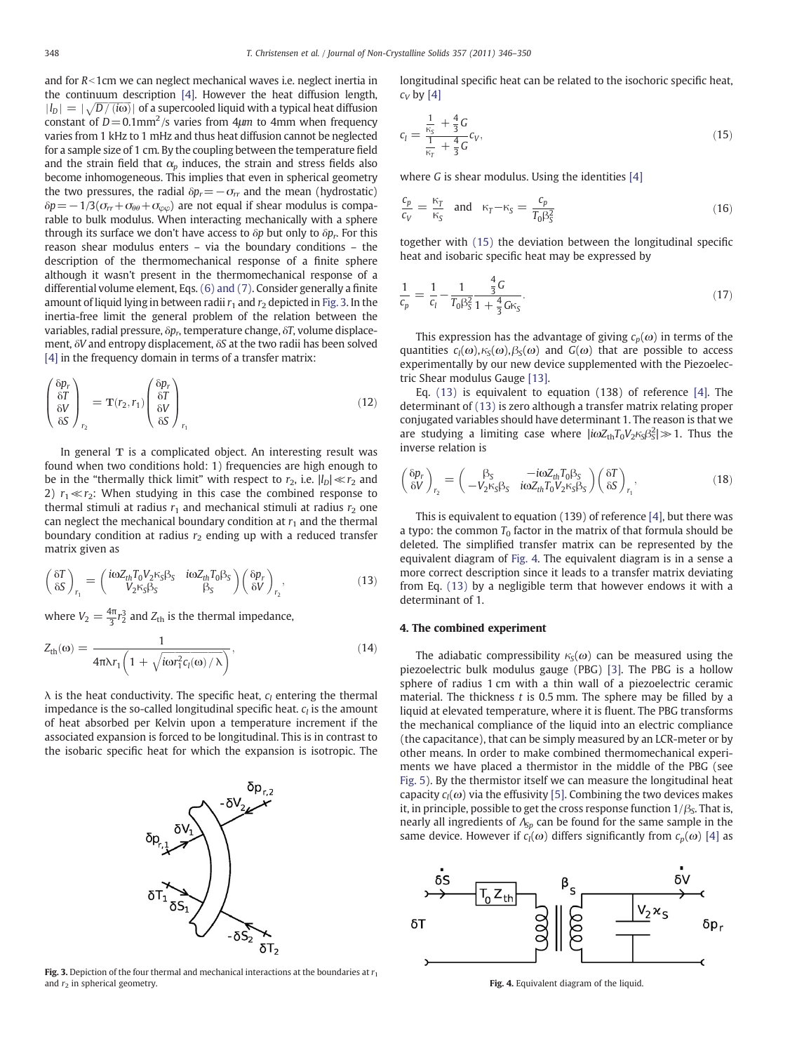and for  $R$ <1cm we can neglect mechanical waves i.e. neglect inertia in the continuum description [\[4\].](#page-4-0) However the heat diffusion length,  $|I_D| = |\sqrt{D/(i\omega)}|$  of a supercooled liquid with a typical heat diffusion constant of  $D=0.1$ mm<sup>2</sup>/s varies from 4 $\mu$ m to 4mm when frequency varies from 1 kHz to 1 mHz and thus heat diffusion cannot be neglected for a sample size of 1 cm. By the coupling between the temperature field and the strain field that  $\alpha_p$  induces, the strain and stress fields also become inhomogeneous. This implies that even in spherical geometry the two pressures, the radial  $\delta p_r = -\sigma_{rr}$  and the mean (hydrostatic)  $\delta p = -1/3(\sigma_{rr}+\sigma_{\theta\theta}+\sigma_{\varphi\varphi})$  are not equal if shear modulus is comparable to bulk modulus. When interacting mechanically with a sphere through its surface we don't have access to  $\delta p$  but only to  $\delta p_r$ . For this reason shear modulus enters – via the boundary conditions – the description of the thermomechanical response of a finite sphere although it wasn't present in the thermomechanical response of a differential volume element, Eqs. (6) and (7). Consider generally a finite amount of liquid lying in between radii  $r_1$  and  $r_2$  depicted in Fig. 3. In the inertia-free limit the general problem of the relation between the variables, radial pressure,  $\delta p_r$ , temperature change,  $\delta T$ , volume displacement, δV and entropy displacement, δS at the two radii has been solved [\[4\]](#page-4-0) in the frequency domain in terms of a transfer matrix:

$$
\begin{pmatrix}\n\delta p_r \\
\delta T \\
\delta V \\
\delta S\n\end{pmatrix}_{r_2} = \mathbf{T}(r_2, r_1) \begin{pmatrix}\n\delta p_r \\
\delta T \\
\delta V \\
\delta S\n\end{pmatrix}_{r_1}
$$
\n(12)

In general  $T$  is a complicated object. An interesting result was found when two conditions hold: 1) frequencies are high enough to be in the "thermally thick limit" with respect to  $r_2$ , i.e.  $|l_D| \ll r_2$  and 2)  $r_1 \ll r_2$ : When studying in this case the combined response to thermal stimuli at radius  $r_1$  and mechanical stimuli at radius  $r_2$  one can neglect the mechanical boundary condition at  $r_1$  and the thermal boundary condition at radius  $r_2$  ending up with a reduced transfer matrix given as

$$
\begin{pmatrix} \delta T \\ \delta S \end{pmatrix}_{r_1} = \begin{pmatrix} i\omega Z_{th} T_0 V_2 \kappa_S \beta_S & i\omega Z_{th} T_0 \beta_S \\ V_2 \kappa_S \beta_S & \beta_S \end{pmatrix} \begin{pmatrix} \delta p_r \\ \delta V \end{pmatrix}_{r_2},\tag{13}
$$

where  $V_2 = \frac{4\pi}{3} r_2^3$  and  $Z_{\text{th}}$  is the thermal impedance,

$$
Z_{\text{th}}(\omega) = \frac{1}{4\pi\lambda r_1 \left(1 + \sqrt{\text{ion}_1^2 c_l(\omega)/\lambda}\right)},\tag{14}
$$

 $\lambda$  is the heat conductivity. The specific heat,  $c_l$  entering the thermal impedance is the so-called longitudinal specific heat.  $c_l$  is the amount of heat absorbed per Kelvin upon a temperature increment if the associated expansion is forced to be longitudinal. This is in contrast to the isobaric specific heat for which the expansion is isotropic. The



**Fig. 3.** Depiction of the four thermal and mechanical interactions at the boundaries at  $r_1$  and  $r_2$  in spherical geometry.

longitudinal specific heat can be related to the isochoric specific heat,  $c_V$  by [\[4\]](#page-4-0)

$$
c_l = \frac{\frac{1}{\kappa_S} + \frac{4}{3}G}{\frac{1}{\kappa_T} + \frac{4}{3}G}c_V,
$$
\n(15)

where  $G$  is shear modulus. Using the identities  $[4]$ 

$$
\frac{c_p}{c_V} = \frac{\kappa_T}{\kappa_S} \quad \text{and} \quad \kappa_T - \kappa_S = \frac{c_p}{T_0 \beta_S^2} \tag{16}
$$

together with (15) the deviation between the longitudinal specific heat and isobaric specific heat may be expressed by

$$
\frac{1}{c_p} = \frac{1}{c_l} - \frac{1}{T_0 \beta_S^2} \frac{\frac{4}{3} G}{1 + \frac{4}{3} G \kappa_S}.
$$
\n(17)

This expression has the advantage of giving  $c_n(\omega)$  in terms of the quantities  $c_l(\omega)$ ,  $\kappa_S(\omega)$ ,  $\beta_S(\omega)$  and  $G(\omega)$  that are possible to access experimentally by our new device supplemented with the Piezoelectric Shear modulus Gauge [\[13\]](#page-4-0).

Eq. (13) is equivalent to equation (138) of reference [\[4\]](#page-4-0). The determinant of (13) is zero although a transfer matrix relating proper conjugated variables should have determinant 1. The reason is that we are studying a limiting case where  $|i\omega Z_{\text{th}}T_0V_2\kappa_{\text{S}}\beta_{\text{S}}^2|\gg 1$ . Thus the inverse relation is

$$
\begin{pmatrix} \delta p_r \\ \delta V \end{pmatrix}_{r_2} = \begin{pmatrix} \beta_S & -i\omega Z_{th} T_0 \beta_S \\ -V_2 \kappa_S \beta_S & i\omega Z_{th} T_0 V_2 \kappa_S \beta_S \end{pmatrix} \begin{pmatrix} \delta T \\ \delta S \end{pmatrix}_{r_1},\tag{18}
$$

This is equivalent to equation (139) of reference [\[4\],](#page-4-0) but there was a typo: the common  $T_0$  factor in the matrix of that formula should be deleted. The simplified transfer matrix can be represented by the equivalent diagram of Fig. 4. The equivalent diagram is in a sense a more correct description since it leads to a transfer matrix deviating from Eq. (13) by a negligible term that however endows it with a determinant of 1.

#### 4. The combined experiment

The adiabatic compressibility  $\kappa_{\rm S}(\omega)$  can be measured using the piezoelectric bulk modulus gauge (PBG) [\[3\]](#page-4-0). The PBG is a hollow sphere of radius 1 cm with a thin wall of a piezoelectric ceramic material. The thickness  $t$  is 0.5 mm. The sphere may be filled by a liquid at elevated temperature, where it is fluent. The PBG transforms the mechanical compliance of the liquid into an electric compliance (the capacitance), that can be simply measured by an LCR-meter or by other means. In order to make combined thermomechanical experiments we have placed a thermistor in the middle of the PBG (see [Fig. 5\)](#page-3-0). By the thermistor itself we can measure the longitudinal heat capacity  $c_l(\omega)$  via the effusivity [\[5\].](#page-4-0) Combining the two devices makes it, in principle, possible to get the cross response function  $1/\beta_s$ . That is, nearly all ingredients of  $\Lambda_{Sp}$  can be found for the same sample in the same device. However if  $c_l(\omega)$  differs significantly from  $c_p(\omega)$  [\[4\]](#page-4-0) as



Fig. 4. Equivalent diagram of the liquid.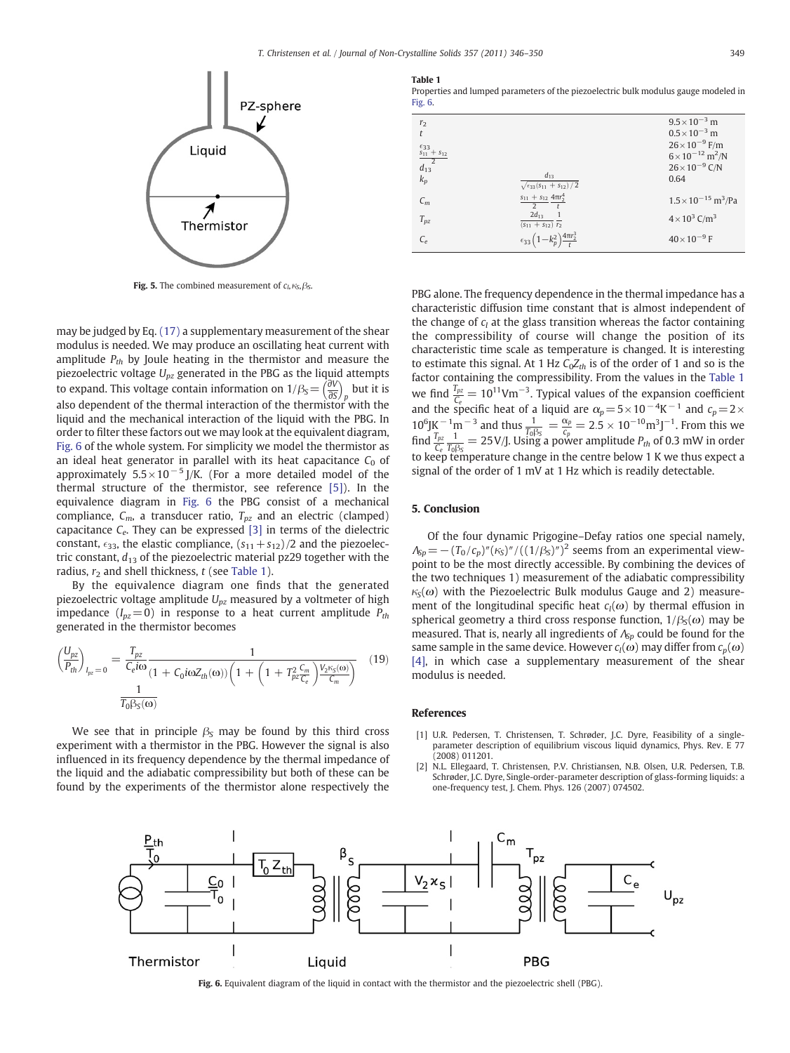<span id="page-3-0"></span>

Fig. 5. The combined measurement of  $c_1, \kappa_S, \beta_S$ .

may be judged by Eq. (17) a supplementary measurement of the shear modulus is needed. We may produce an oscillating heat current with amplitude  $P_{th}$  by Joule heating in the thermistor and measure the piezoelectric voltage  $U_{pz}$  generated in the PBG as the liquid attempts to expand. This voltage contain information on  $1/\beta_s = \left(\frac{\partial V}{\partial S}\right)_p$  but it is also dependent of the thermal interaction of the thermistor with the liquid and the mechanical interaction of the liquid with the PBG. In order to filter these factors out we may look at the equivalent diagram, Fig. 6 of the whole system. For simplicity we model the thermistor as an ideal heat generator in parallel with its heat capacitance  $C_0$  of approximately  $5.5 \times 10^{-5}$  J/K. (For a more detailed model of the thermal structure of the thermistor, see reference [\[5\]\)](#page-4-0). In the equivalence diagram in Fig. 6 the PBG consist of a mechanical compliance,  $C_m$ , a transducer ratio,  $T_{pz}$  and an electric (clamped) capacitance  $C_e$ . They can be expressed [\[3\]](#page-4-0) in terms of the dielectric constant,  $\epsilon_{33}$ , the elastic compliance,  $(s_{11} + s_{12})/2$  and the piezoelectric constant,  $d_{13}$  of the piezoelectric material pz29 together with the radius,  $r_2$  and shell thickness,  $t$  (see Table 1).

By the equivalence diagram one finds that the generated piezoelectric voltage amplitude  $U_{nz}$  measured by a voltmeter of high impedance ( $I_{pz}$ =0) in response to a heat current amplitude  $P_{th}$ generated in the thermistor becomes

$$
\left(\frac{U_{pz}}{P_{th}}\right)_{I_{pz}=0} = \frac{T_{pz}}{C_e i \omega} \frac{1}{(1 + C_0 i \omega Z_{th}(\omega)) \left(1 + \left(1 + T_{pz}^2 \frac{C_m}{C_e}\right) \frac{V_2 i \varsigma(\omega)}{C_m}\right)} \tag{19}
$$

We see that in principle  $\beta_s$  may be found by this third cross experiment with a thermistor in the PBG. However the signal is also influenced in its frequency dependence by the thermal impedance of the liquid and the adiabatic compressibility but both of these can be found by the experiments of the thermistor alone respectively the

Table 1

Properties and lumped parameters of the piezoelectric bulk modulus gauge modeled in Fig. 6.

| r <sub>2</sub><br>$\mathfrak{t}$<br>$\frac{\frac{\epsilon_{33}}{s_{11}+s_{12}}}{d_{13}}$<br>$k_p$ | $d_{13}$<br>$\sqrt{\epsilon_{33}(s_{11}+s_{12})/2}$         | $9.5 \times 10^{-3}$ m<br>$0.5 \times 10^{-3}$ m<br>$26 \times 10^{-9}$ F/m<br>$6 \times 10^{-12}$ m <sup>2</sup> /N<br>$26 \times 10^{-9}$ C/N<br>0.64 |
|---------------------------------------------------------------------------------------------------|-------------------------------------------------------------|---------------------------------------------------------------------------------------------------------------------------------------------------------|
| $C_m$                                                                                             | $s_{11} + s_{12} 4\pi r_2^4$<br>$\frac{1}{2}$ $\frac{1}{t}$ | $1.5 \times 10^{-15}$ m <sup>3</sup> /Pa                                                                                                                |
| $T_{pz}$                                                                                          | $2d_{13}$<br>$(s_{11} + s_{12}) \overline{r_2}$             | $4 \times 10^3$ C/m <sup>3</sup>                                                                                                                        |
| $C_e$                                                                                             | $\epsilon_{33} (1 - k_p^2) \frac{4 \pi r_2^3}{4}$           | $40\times10^{-9}$ F                                                                                                                                     |

PBG alone. The frequency dependence in the thermal impedance has a characteristic diffusion time constant that is almost independent of the change of  $c_l$  at the glass transition whereas the factor containing the compressibility of course will change the position of its characteristic time scale as temperature is changed. It is interesting to estimate this signal. At 1 Hz  $C_0Z_{th}$  is of the order of 1 and so is the factor containing the compressibility. From the values in the Table 1 we find  $\frac{T_{pz}}{C_e} = 10^{11}$ Vm<sup>-3</sup>. Typical values of the expansion coefficient and the specific heat of a liquid are  $\alpha_p = 5 \times 10^{-4}$ K<sup>-1</sup> and  $c_p = 2 \times$  $10^6$ JK <sup>-1</sup>m<sup>-3</sup> and thus  $\frac{1}{T_0\beta_S} = \frac{\alpha_p}{c_p} = 2.5 \times 10^{-10}$  m<sup>3</sup>J<sup>-1</sup>. From this we find  $\frac{T_{pz}}{C_e} \frac{1}{T_0 \beta_S} = 25 \text{ V/J}$ . Using a power amplitude  $P_{th}$  of 0.3 mW in order to keep temperature change in the centre below 1 K we thus expect a signal of the order of 1 mV at 1 Hz which is readily detectable.

#### 5. Conclusion

Of the four dynamic Prigogine–Defay ratios one special namely,  $\Lambda_{\rm Sp}$  =  $-(T_0/c_p)''(\kappa_{\rm s})''/((1/\beta_{\rm s})'')^2$  seems from an experimental viewpoint to be the most directly accessible. By combining the devices of the two techniques 1) measurement of the adiabatic compressibility  $\kappa_{\rm S}(\omega)$  with the Piezoelectric Bulk modulus Gauge and 2) measurement of the longitudinal specific heat  $c_l(\omega)$  by thermal effusion in spherical geometry a third cross response function,  $1/\beta_s(\omega)$  may be measured. That is, nearly all ingredients of  $\Lambda_{Sp}$  could be found for the same sample in the same device. However  $c_l(\omega)$  may differ from  $c_p(\omega)$ [\[4\],](#page-4-0) in which case a supplementary measurement of the shear modulus is needed.

#### References

- [1] U.R. Pedersen, T. Christensen, T. Schrøder, J.C. Dyre, Feasibility of a singleparameter description of equilibrium viscous liquid dynamics, Phys. Rev. E 77 (2008) 011201.
- [2] N.L. Ellegaard, T. Christensen, P.V. Christiansen, N.B. Olsen, U.R. Pedersen, T.B. Schrøder, J.C. Dyre, Single-order-parameter description of glass-forming liquids: a one-frequency test, J. Chem. Phys. 126 (2007) 074502.



Fig. 6. Equivalent diagram of the liquid in contact with the thermistor and the piezoelectric shell (PBG).